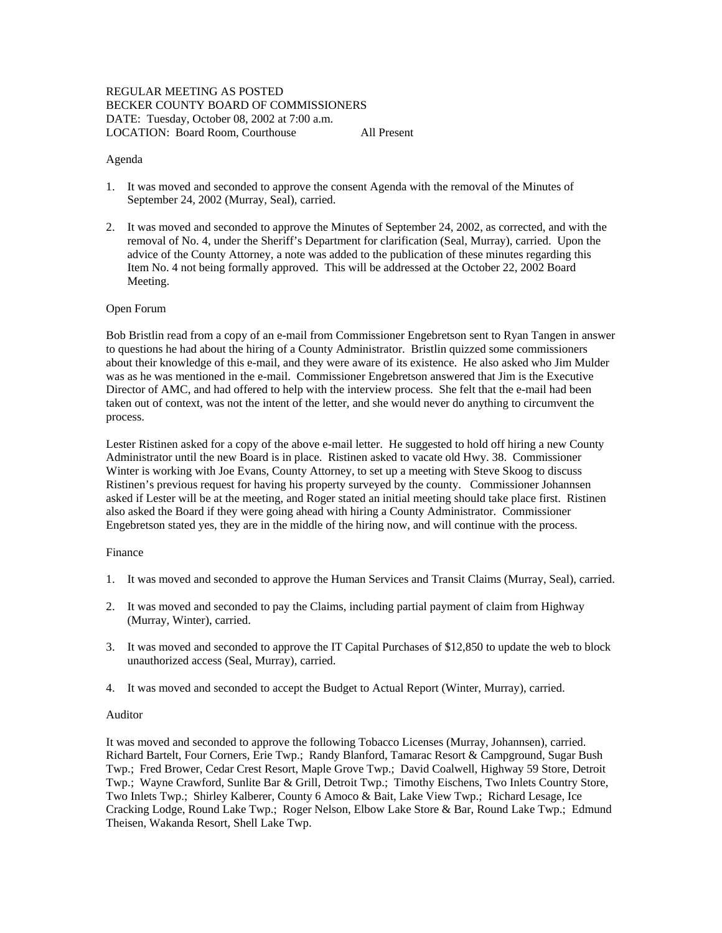# REGULAR MEETING AS POSTED BECKER COUNTY BOARD OF COMMISSIONERS DATE: Tuesday, October 08, 2002 at 7:00 a.m. LOCATION: Board Room, Courthouse All Present

### Agenda

- 1. It was moved and seconded to approve the consent Agenda with the removal of the Minutes of September 24, 2002 (Murray, Seal), carried.
- 2. It was moved and seconded to approve the Minutes of September 24, 2002, as corrected, and with the removal of No. 4, under the Sheriff's Department for clarification (Seal, Murray), carried. Upon the advice of the County Attorney, a note was added to the publication of these minutes regarding this Item No. 4 not being formally approved. This will be addressed at the October 22, 2002 Board Meeting.

### Open Forum

Bob Bristlin read from a copy of an e-mail from Commissioner Engebretson sent to Ryan Tangen in answer to questions he had about the hiring of a County Administrator. Bristlin quizzed some commissioners about their knowledge of this e-mail, and they were aware of its existence. He also asked who Jim Mulder was as he was mentioned in the e-mail. Commissioner Engebretson answered that Jim is the Executive Director of AMC, and had offered to help with the interview process. She felt that the e-mail had been taken out of context, was not the intent of the letter, and she would never do anything to circumvent the process.

Lester Ristinen asked for a copy of the above e-mail letter. He suggested to hold off hiring a new County Administrator until the new Board is in place. Ristinen asked to vacate old Hwy. 38. Commissioner Winter is working with Joe Evans, County Attorney, to set up a meeting with Steve Skoog to discuss Ristinen's previous request for having his property surveyed by the county. Commissioner Johannsen asked if Lester will be at the meeting, and Roger stated an initial meeting should take place first. Ristinen also asked the Board if they were going ahead with hiring a County Administrator. Commissioner Engebretson stated yes, they are in the middle of the hiring now, and will continue with the process.

### Finance

- 1. It was moved and seconded to approve the Human Services and Transit Claims (Murray, Seal), carried.
- 2. It was moved and seconded to pay the Claims, including partial payment of claim from Highway (Murray, Winter), carried.
- 3. It was moved and seconded to approve the IT Capital Purchases of \$12,850 to update the web to block unauthorized access (Seal, Murray), carried.
- 4. It was moved and seconded to accept the Budget to Actual Report (Winter, Murray), carried.

### Auditor

It was moved and seconded to approve the following Tobacco Licenses (Murray, Johannsen), carried. Richard Bartelt, Four Corners, Erie Twp.; Randy Blanford, Tamarac Resort & Campground, Sugar Bush Twp.; Fred Brower, Cedar Crest Resort, Maple Grove Twp.; David Coalwell, Highway 59 Store, Detroit Twp.; Wayne Crawford, Sunlite Bar & Grill, Detroit Twp.; Timothy Eischens, Two Inlets Country Store, Two Inlets Twp.; Shirley Kalberer, County 6 Amoco & Bait, Lake View Twp.; Richard Lesage, Ice Cracking Lodge, Round Lake Twp.; Roger Nelson, Elbow Lake Store & Bar, Round Lake Twp.; Edmund Theisen, Wakanda Resort, Shell Lake Twp.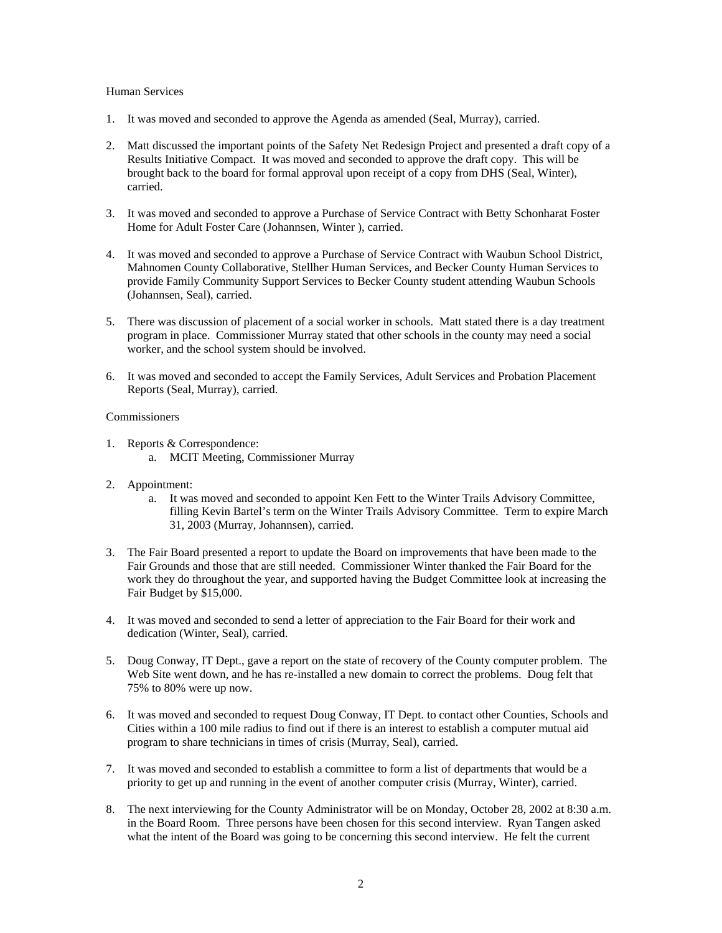### Human Services

- 1. It was moved and seconded to approve the Agenda as amended (Seal, Murray), carried.
- 2. Matt discussed the important points of the Safety Net Redesign Project and presented a draft copy of a Results Initiative Compact. It was moved and seconded to approve the draft copy. This will be brought back to the board for formal approval upon receipt of a copy from DHS (Seal, Winter), carried.
- 3. It was moved and seconded to approve a Purchase of Service Contract with Betty Schonharat Foster Home for Adult Foster Care (Johannsen, Winter ), carried.
- 4. It was moved and seconded to approve a Purchase of Service Contract with Waubun School District, Mahnomen County Collaborative, Stellher Human Services, and Becker County Human Services to provide Family Community Support Services to Becker County student attending Waubun Schools (Johannsen, Seal), carried.
- 5. There was discussion of placement of a social worker in schools. Matt stated there is a day treatment program in place. Commissioner Murray stated that other schools in the county may need a social worker, and the school system should be involved.
- 6. It was moved and seconded to accept the Family Services, Adult Services and Probation Placement Reports (Seal, Murray), carried.

## **Commissioners**

- 1. Reports & Correspondence:
	- a. MCIT Meeting, Commissioner Murray
- 2. Appointment:
	- a. It was moved and seconded to appoint Ken Fett to the Winter Trails Advisory Committee, filling Kevin Bartel's term on the Winter Trails Advisory Committee. Term to expire March 31, 2003 (Murray, Johannsen), carried.
- 3. The Fair Board presented a report to update the Board on improvements that have been made to the Fair Grounds and those that are still needed. Commissioner Winter thanked the Fair Board for the work they do throughout the year, and supported having the Budget Committee look at increasing the Fair Budget by \$15,000.
- 4. It was moved and seconded to send a letter of appreciation to the Fair Board for their work and dedication (Winter, Seal), carried.
- 5. Doug Conway, IT Dept., gave a report on the state of recovery of the County computer problem. The Web Site went down, and he has re-installed a new domain to correct the problems. Doug felt that 75% to 80% were up now.
- 6. It was moved and seconded to request Doug Conway, IT Dept. to contact other Counties, Schools and Cities within a 100 mile radius to find out if there is an interest to establish a computer mutual aid program to share technicians in times of crisis (Murray, Seal), carried.
- 7. It was moved and seconded to establish a committee to form a list of departments that would be a priority to get up and running in the event of another computer crisis (Murray, Winter), carried.
- 8. The next interviewing for the County Administrator will be on Monday, October 28, 2002 at 8:30 a.m. in the Board Room. Three persons have been chosen for this second interview. Ryan Tangen asked what the intent of the Board was going to be concerning this second interview. He felt the current